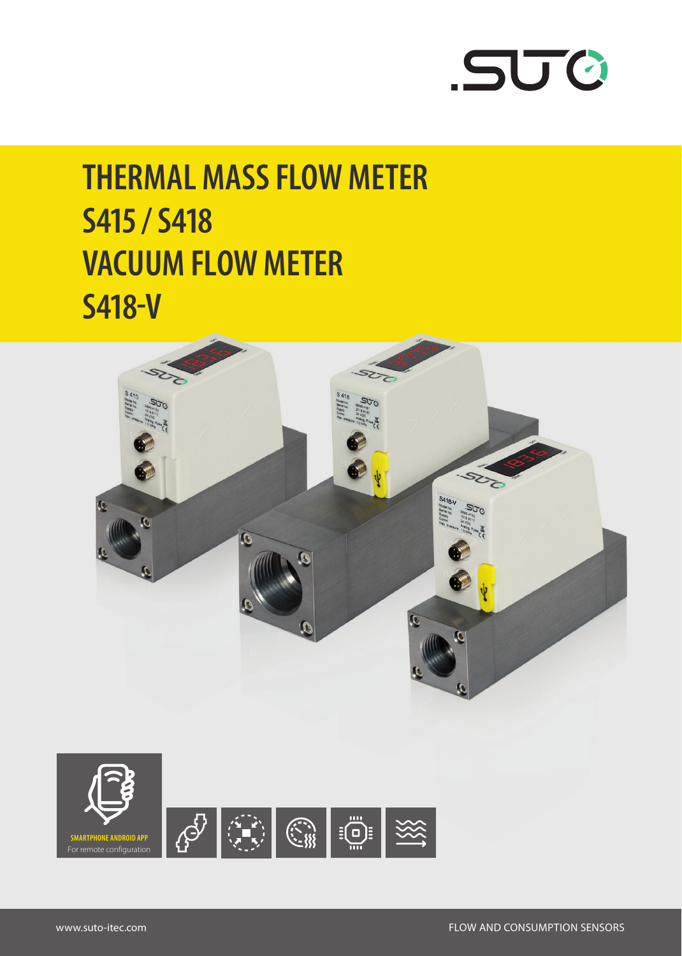

# **THERMAL MASS FLOW METER S415 / S418 VACUUM FLOW METER S418-V**



For remote configuration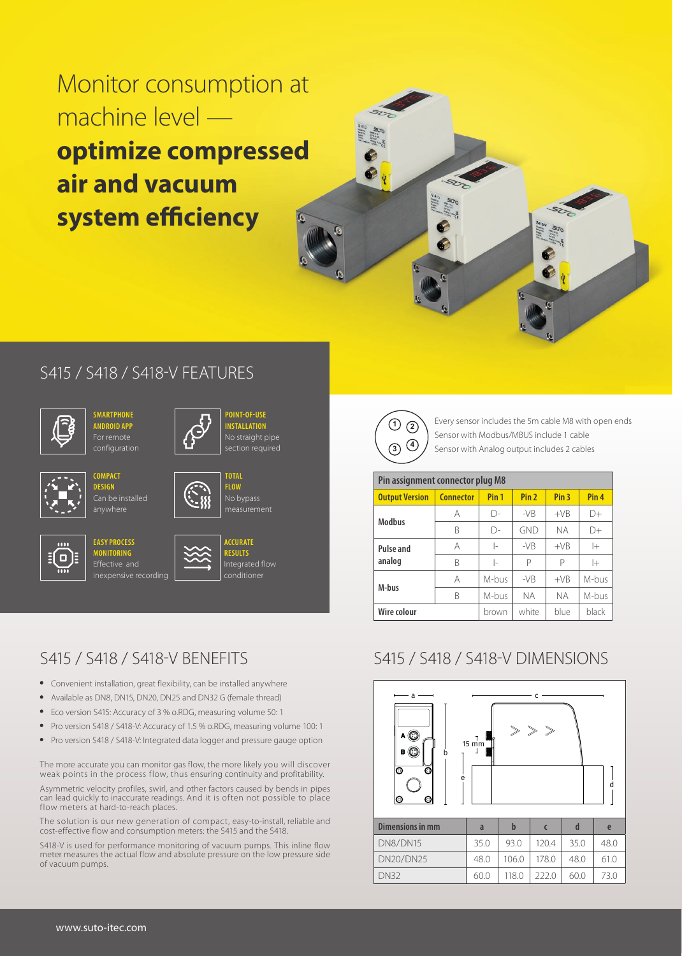Monitor consumption at machine level **optimize compressed air and vacuum system efficiency**



#### S415 / S418 / S418-V FEATURES



**ANDROID APP** For remote

> **COMPACT DESIGN**

anywhere



**POINT-OF-USE INSTALLATION** No straight pipe ection required

**TOTAL** 

**FLOW** measurement



**EASY PROCESS MONITORING** Effective and inexpensive recording



**ACCURATE RESULTS** Integrated flow conditioner

### S415 / S418 / S418-V BENEFITS

- Convenient installation, great flexibility, can be installed anywhere
- Available as DN8, DN15, DN20, DN25 and DN32 G (female thread)
- Eco version S415: Accuracy of 3 % o.RDG, measuring volume 50: 1
- Pro version S418 / S418-V: Accuracy of 1.5 % o.RDG, measuring volume 100: 1
- Pro version S418 / S418-V: Integrated data logger and pressure gauge option

The more accurate you can monitor gas flow, the more likely you will discover weak points in the process flow, thus ensuring continuity and profitability.

Asymmetric velocity profiles, swirl, and other factors caused by bends in pipes can lead quickly to inaccurate readings. And it is often not possible to place flow meters at hard-to-reach places.

The solution is our new generation of compact, easy-to-install, reliable and cost-effective flow and consumption meters: the S415 and the S418.

S418-V is used for performance monitoring of vacuum pumps. This inline flow meter measures the actual flow and absolute pressure on the low pressure side of vacuum pumps.



Every sensor includes the 5m cable M8 with open ends Sensor with Modbus/MBUS include 1 cable Sensor with Analog output includes 2 cables

| Pin assignment connector plug M8 |                  |                  |                  |                  |                  |
|----------------------------------|------------------|------------------|------------------|------------------|------------------|
| <b>Output Version</b>            | <b>Connector</b> | Pin <sub>1</sub> | Pin <sub>2</sub> | Pin <sub>3</sub> | Pin <sub>4</sub> |
| <b>Modbus</b>                    | A                | D-               | $-VB$            | $+VB$            | $\Box +$         |
|                                  | B                | $\bigcap$        | GND              | NА               | D+               |
| Pulse and                        | A                | l-               | $-VB$            | $+VB$            | $ +$             |
| analog                           | B                | l-               | P                | P                | $ +$             |
| M-bus                            | A                | M-bus            | $-VB$            | $+VB$            | M-bus            |
|                                  | R                | M-bus            | <b>NA</b>        | NА               | M-bus            |
| Wire colour                      |                  | brown            | white            | blue             | black            |

# S415 / S418 / S418-V DIMENSIONS



| Dimensions in mm | a    |       |       |      | e    |
|------------------|------|-------|-------|------|------|
| DN8/DN15         | 35.0 | 93.0  | 1204  | 35 O | 48.0 |
| <b>DN20/DN25</b> | 48.0 | 106.0 | 178.0 | 48.0 | 61 0 |
| <b>DN32</b>      | 60.0 | 118.0 | 2220  | 60.0 | 730  |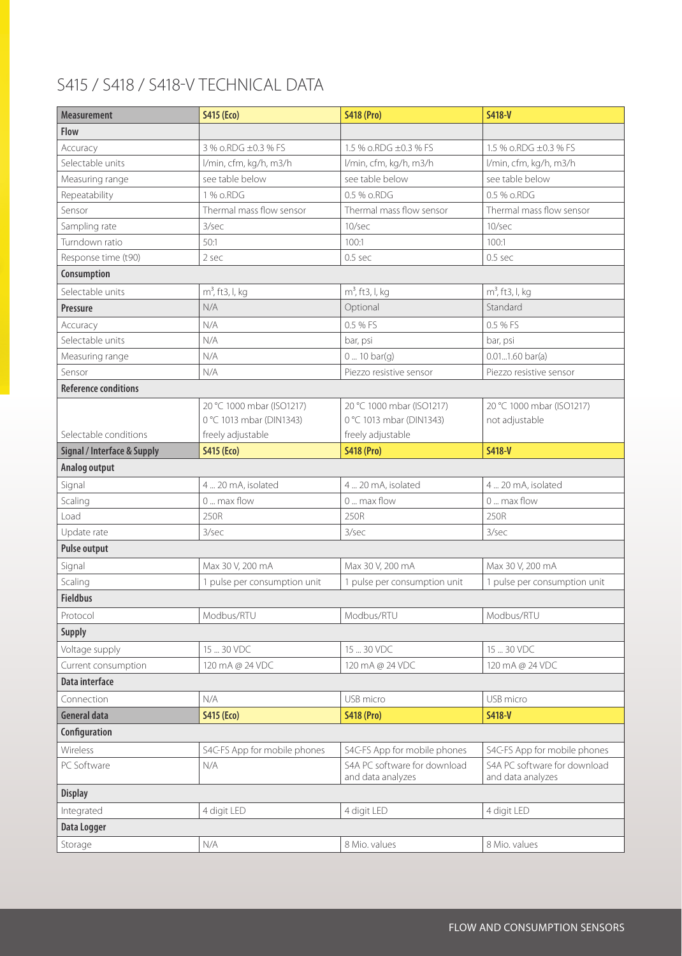# S415 / S418 / S418-V TECHNICAL DATA

| <b>Measurement</b>                     | <b>S415 (Eco)</b>            | <b>S418 (Pro)</b>                                 | $S418-V$                                          |
|----------------------------------------|------------------------------|---------------------------------------------------|---------------------------------------------------|
| <b>Flow</b>                            |                              |                                                   |                                                   |
| Accuracy                               | 3 % o.RDG ±0.3 % FS          | 1.5 % o.RDG ±0.3 % FS                             | 1.5 % o.RDG ±0.3 % FS                             |
| Selectable units                       | l/min, cfm, kg/h, m3/h       | l/min, cfm, kg/h, m3/h                            | l/min, cfm, kg/h, m3/h                            |
| Measuring range                        | see table below              | see table below                                   | see table below                                   |
| Repeatability                          | 1 % o.RDG                    | 0.5 % o.RDG                                       | 0.5 % o.RDG                                       |
| Sensor                                 | Thermal mass flow sensor     | Thermal mass flow sensor                          | Thermal mass flow sensor                          |
| Sampling rate                          | 3/sec                        | 10/sec                                            | 10/sec                                            |
| Turndown ratio                         | 50:1                         | 100:1                                             | 100:1                                             |
| Response time (t90)                    | 2 sec                        | $0.5$ sec                                         | $0.5$ sec                                         |
| Consumption                            |                              |                                                   |                                                   |
| Selectable units                       | $m3$ , ft3, l, kg            | $m3$ , ft3, l, kg                                 | $m3$ , ft3, l, kg                                 |
| Pressure                               | N/A                          | Optional                                          | Standard                                          |
| Accuracy                               | N/A                          | 0.5 % FS                                          | 0.5 % FS                                          |
| Selectable units                       | N/A                          | bar, psi                                          | bar, psi                                          |
| Measuring range                        | N/A                          | 0 10 bar(g)                                       | $0.011.60 \text{ bar(a)}$                         |
| Sensor                                 | N/A                          | Piezzo resistive sensor                           | Piezzo resistive sensor                           |
| <b>Reference conditions</b>            |                              |                                                   |                                                   |
|                                        | 20 °C 1000 mbar (ISO1217)    | 20 °C 1000 mbar (ISO1217)                         | 20 °C 1000 mbar (ISO1217)                         |
|                                        | 0 °C 1013 mbar (DIN1343)     | 0 °C 1013 mbar (DIN1343)                          | not adjustable                                    |
| Selectable conditions                  | freely adjustable            | freely adjustable                                 |                                                   |
| <b>Signal / Interface &amp; Supply</b> | <b>S415 (Eco)</b>            | <b>S418 (Pro)</b>                                 | <b>S418-V</b>                                     |
| Analog output                          |                              |                                                   |                                                   |
| Signal                                 | 4  20 mA, isolated           | 4  20 mA, isolated                                | 4  20 mA, isolated                                |
| Scaling                                | 0  max flow                  | 0  max flow                                       | 0  max flow                                       |
| Load                                   | 250R                         | 250R                                              | 250R                                              |
| Update rate                            | 3/sec                        | 3/sec                                             | 3/sec                                             |
| <b>Pulse output</b>                    |                              |                                                   |                                                   |
| Signal                                 | Max 30 V, 200 mA             | Max 30 V, 200 mA                                  | Max 30 V, 200 mA                                  |
| Scaling                                | 1 pulse per consumption unit | 1 pulse per consumption unit                      | 1 pulse per consumption unit                      |
| <b>Fieldbus</b>                        |                              |                                                   |                                                   |
| Protocol                               | Modbus/RTU                   | Modbus/RTU                                        | Modbus/RTU                                        |
| <b>Supply</b>                          |                              |                                                   |                                                   |
| Voltage supply                         | 15  30 VDC                   | 15  30 VDC                                        | 15  30 VDC                                        |
| Current consumption                    | 120 mA @ 24 VDC              | 120 mA @ 24 VDC                                   | 120 mA @ 24 VDC                                   |
| Data interface                         |                              |                                                   |                                                   |
| Connection                             | N/A                          | USB micro                                         | USB micro                                         |
| <b>General data</b>                    | <b>S415 (Eco)</b>            | <b>S418 (Pro)</b>                                 | <b>S418-V</b>                                     |
| Configuration                          |                              |                                                   |                                                   |
| Wireless                               | S4C-FS App for mobile phones | S4C-FS App for mobile phones                      | S4C-FS App for mobile phones                      |
| PC Software                            | N/A                          | S4A PC software for download<br>and data analyzes | S4A PC software for download<br>and data analyzes |
| <b>Display</b>                         |                              |                                                   |                                                   |
| Integrated                             | 4 digit LED                  | 4 digit LED                                       | 4 digit LED                                       |
| Data Logger                            |                              |                                                   |                                                   |
|                                        |                              |                                                   |                                                   |
| Storage                                | N/A                          | 8 Mio. values                                     | 8 Mio. values                                     |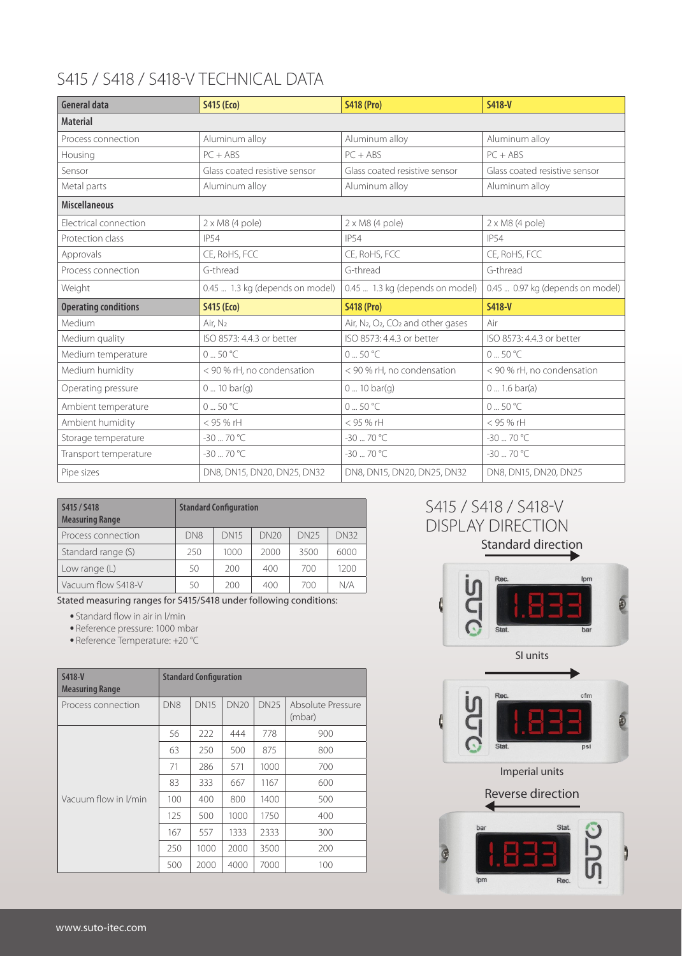## S415 / S418 / S418-V TECHNICAL DATA

| General data                | <b>S415 (Eco)</b>               | <b>S418 (Pro)</b>                                                      | S418-V                           |
|-----------------------------|---------------------------------|------------------------------------------------------------------------|----------------------------------|
| <b>Material</b>             |                                 |                                                                        |                                  |
| Process connection          | Aluminum alloy                  | Aluminum alloy                                                         | Aluminum alloy                   |
| Housing                     | $PC + ABS$                      | $PC + ABS$                                                             | $PC + ABS$                       |
| Sensor                      | Glass coated resistive sensor   | Glass coated resistive sensor                                          | Glass coated resistive sensor    |
| Metal parts                 | Aluminum alloy                  | Aluminum alloy                                                         | Aluminum alloy                   |
| <b>Miscellaneous</b>        |                                 |                                                                        |                                  |
| Electrical connection       | $2 \times M8$ (4 pole)          | $2 \times M8$ (4 pole)                                                 | $2 \times M8$ (4 pole)           |
| Protection class            | <b>IP54</b>                     | <b>IP54</b>                                                            | <b>IP54</b>                      |
| Approvals                   | CE, RoHS, FCC                   | CE, RoHS, FCC                                                          | CE, RoHS, FCC                    |
| Process connection          | G-thread                        | G-thread                                                               | G-thread                         |
| Weight                      | 0.45  1.3 kg (depends on model) | 0.45  1.3 kg (depends on model)                                        | 0.45  0.97 kg (depends on model) |
| <b>Operating conditions</b> | <b>S415 (Eco)</b>               | <b>S418 (Pro)</b>                                                      | S418-V                           |
| Medium                      | Air. N <sub>2</sub>             | Air, N <sub>2</sub> , O <sub>2</sub> , CO <sub>2</sub> and other gases | Air                              |
| Medium quality              | ISO 8573: 4.4.3 or better       | ISO 8573: 4.4.3 or better                                              | ISO 8573: 4.4.3 or better        |
| Medium temperature          | $0.50^{\circ}$ C                | $0.50^{\circ}$ C                                                       | $0.50^{\circ}$ C                 |
| Medium humidity             | < 90 % rH, no condensation      | < 90 % rH, no condensation                                             | < 90 % rH, no condensation       |
| Operating pressure          | 0 10 bar(g)                     | $010$ bar(q)                                                           | 0 1.6 bar(a)                     |
| Ambient temperature         | $0.50^{\circ}$ C                | $0.50^{\circ}$ C                                                       | 0.50 °C                          |
| Ambient humidity            | < 95 % rH                       | < 95 % rH                                                              | < 95 % rH                        |
| Storage temperature         | $-30 - 70$ °C                   | $-30 - 70$ °C                                                          | $-30 - 70$ °C                    |
| Transport temperature       | $-30 - 70$ °C                   | $-30 - 70$ °C                                                          | -30  70 °C                       |
| Pipe sizes                  | DN8, DN15, DN20, DN25, DN32     | DN8, DN15, DN20, DN25, DN32                                            | DN8, DN15, DN20, DN25            |

| S415 / S418<br><b>Measuring Range</b> |                 | <b>Standard Configuration</b> |      |             |             |
|---------------------------------------|-----------------|-------------------------------|------|-------------|-------------|
| Process connection                    | DN <sub>8</sub> | <b>DN15</b>                   | DN20 | <b>DN25</b> | <b>DN32</b> |
| Standard range (S)                    | 250             | 1000                          | 2000 | 3500        | 6000        |
| Low range $(L)$                       | 50              | 200                           | 400  | 700         | 1200        |
| Vacuum flow S418-V                    | 50              | 200                           | 400  | 700         | N/A         |

Stated measuring ranges for S415/S418 under following conditions:

Standard flow in air in l/min

Reference pressure: 1000 mbar

Reference Temperature: +20 °C

| S418-V<br><b>Measuring Range</b> | <b>Standard Configuration</b> |             |             |             |                             |
|----------------------------------|-------------------------------|-------------|-------------|-------------|-----------------------------|
| Process connection               | DN <sub>8</sub>               | <b>DN15</b> | <b>DN20</b> | <b>DN25</b> | Absolute Pressure<br>(mbar) |
|                                  | 56                            | 222         | 444         | 778         | 900                         |
|                                  | 63                            | 250         | 500         | 875         | 800                         |
|                                  | 71                            | 286         | 571         | 1000        | 700                         |
|                                  | 83                            | 333         | 667         | 1167        | 600                         |
| Vacuum flow in I/min             | 100                           | 400         | 800         | 1400        | 500                         |
|                                  | 125                           | 500         | 1000        | 1750        | 400                         |
|                                  | 167                           | 557         | 1333        | 2333        | 300                         |
|                                  | 250                           | 1000        | 2000        | 3500        | 200                         |
|                                  | 500                           | 2000        | 4000        | 7000        | 100                         |

#### Standard direction S415 / S418 / S418-V DISPLAY DIRECTION



SI units